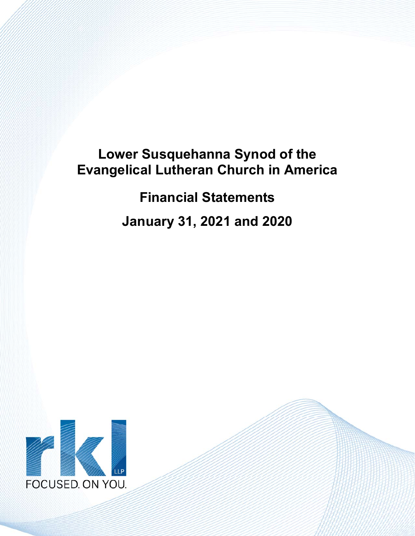**Financial Statements January 31, 2021 and 2020**

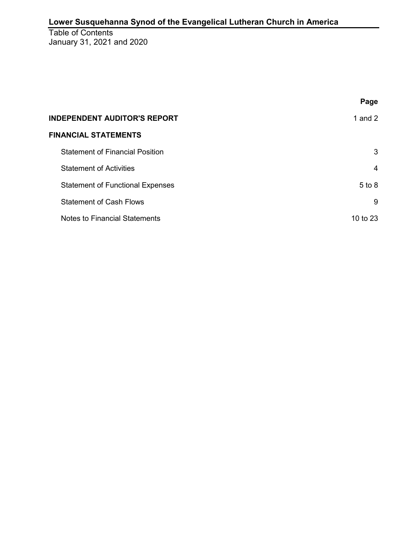Table of Contents January 31, 2021 and 2020

|                                         | Page       |
|-----------------------------------------|------------|
| <b>INDEPENDENT AUDITOR'S REPORT</b>     | 1 and $2$  |
| <b>FINANCIAL STATEMENTS</b>             |            |
| <b>Statement of Financial Position</b>  | 3          |
| <b>Statement of Activities</b>          | 4          |
| <b>Statement of Functional Expenses</b> | $5$ to $8$ |
| <b>Statement of Cash Flows</b>          | 9          |
| <b>Notes to Financial Statements</b>    | 10 to $23$ |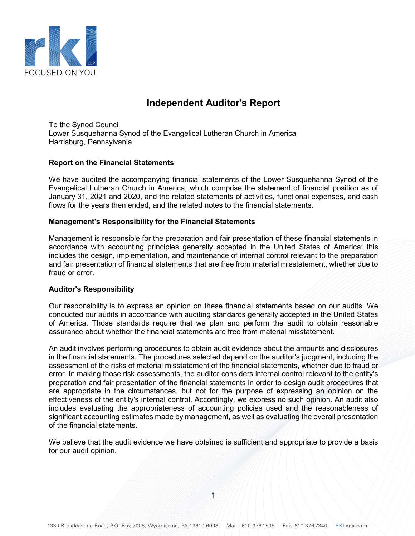

## **Independent Auditor's Report**

To the Synod Council Lower Susquehanna Synod of the Evangelical Lutheran Church in America Harrisburg, Pennsylvania

#### **Report on the Financial Statements**

We have audited the accompanying financial statements of the Lower Susquehanna Synod of the Evangelical Lutheran Church in America, which comprise the statement of financial position as of January 31, 2021 and 2020, and the related statements of activities, functional expenses, and cash flows for the years then ended, and the related notes to the financial statements.

#### **Management's Responsibility for the Financial Statements**

Management is responsible for the preparation and fair presentation of these financial statements in accordance with accounting principles generally accepted in the United States of America; this includes the design, implementation, and maintenance of internal control relevant to the preparation and fair presentation of financial statements that are free from material misstatement, whether due to fraud or error.

#### **Auditor's Responsibility**

Our responsibility is to express an opinion on these financial statements based on our audits. We conducted our audits in accordance with auditing standards generally accepted in the United States of America. Those standards require that we plan and perform the audit to obtain reasonable assurance about whether the financial statements are free from material misstatement.

An audit involves performing procedures to obtain audit evidence about the amounts and disclosures in the financial statements. The procedures selected depend on the auditor's judgment, including the assessment of the risks of material misstatement of the financial statements, whether due to fraud or error. In making those risk assessments, the auditor considers internal control relevant to the entity's preparation and fair presentation of the financial statements in order to design audit procedures that are appropriate in the circumstances, but not for the purpose of expressing an opinion on the effectiveness of the entity's internal control. Accordingly, we express no such opinion. An audit also includes evaluating the appropriateness of accounting policies used and the reasonableness of significant accounting estimates made by management, as well as evaluating the overall presentation of the financial statements.

We believe that the audit evidence we have obtained is sufficient and appropriate to provide a basis for our audit opinion.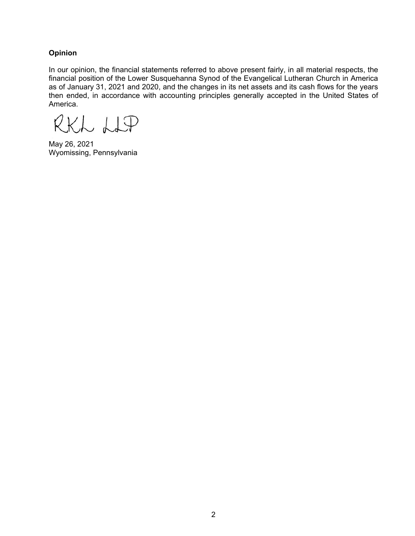#### **Opinion**

In our opinion, the financial statements referred to above present fairly, in all material respects, the financial position of the Lower Susquehanna Synod of the Evangelical Lutheran Church in America as of January 31, 2021 and 2020, and the changes in its net assets and its cash flows for the years then ended, in accordance with accounting principles generally accepted in the United States of America.

RKL LIP

May 26, 2021 Wyomissing, Pennsylvania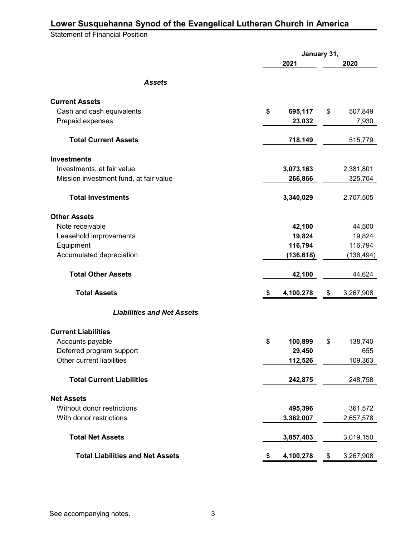Statement of Financial Position

|                                         | January 31, |            |    |            |
|-----------------------------------------|-------------|------------|----|------------|
|                                         |             | 2021       |    | 2020       |
| <b>Assets</b>                           |             |            |    |            |
| <b>Current Assets</b>                   |             |            |    |            |
| Cash and cash equivalents               | \$          | 695,117    | \$ | 507,849    |
| Prepaid expenses                        |             | 23,032     |    | 7,930      |
| <b>Total Current Assets</b>             |             | 718,149    |    | 515,779    |
| <b>Investments</b>                      |             |            |    |            |
| Investments, at fair value              |             | 3,073,163  |    | 2,381,801  |
| Mission investment fund, at fair value  |             | 266,866    |    | 325,704    |
| <b>Total Investments</b>                |             | 3,340,029  |    | 2,707,505  |
| <b>Other Assets</b>                     |             |            |    |            |
| Note receivable                         |             | 42,100     |    | 44,500     |
| Leasehold improvements                  |             | 19,824     |    | 19,824     |
| Equipment                               |             | 116,794    |    | 116,794    |
| Accumulated depreciation                |             | (136, 618) |    | (136, 494) |
| <b>Total Other Assets</b>               |             | 42,100     |    | 44,624     |
| <b>Total Assets</b>                     | - \$        | 4,100,278  | \$ | 3,267,908  |
| <b>Liabilities and Net Assets</b>       |             |            |    |            |
| <b>Current Liabilities</b>              |             |            |    |            |
| Accounts payable                        | \$          | 100,899    | \$ | 138,740    |
| Deferred program support                |             | 29,450     |    | 655        |
| Other current liabilities               |             | 112,526    |    | 109,363    |
| <b>Total Current Liabilities</b>        |             | 242,875    |    | 248,758    |
| <b>Net Assets</b>                       |             |            |    |            |
| Without donor restrictions              |             | 495,396    |    | 361,572    |
| With donor restrictions                 |             | 3,362,007  |    | 2,657,578  |
| <b>Total Net Assets</b>                 |             | 3,857,403  |    | 3,019,150  |
| <b>Total Liabilities and Net Assets</b> | \$          | 4,100,278  | \$ | 3,267,908  |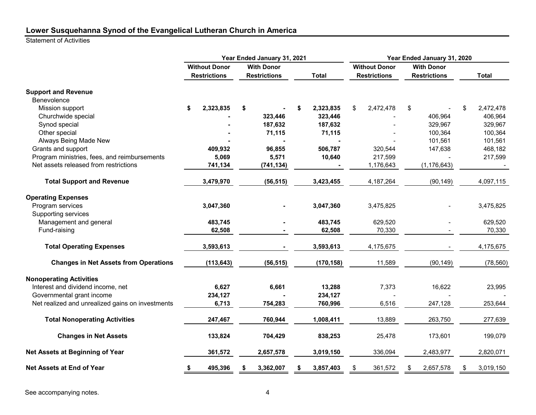## Statement of Activities

|                                                  | Year Ended January 31, 2021 |                     |                                     |    |                     |    | Year Ended January 31, 2020 |    |                   |    |           |  |
|--------------------------------------------------|-----------------------------|---------------------|-------------------------------------|----|---------------------|----|-----------------------------|----|-------------------|----|-----------|--|
|                                                  | <b>Without Donor</b>        |                     | <b>With Donor</b>                   |    |                     |    | <b>Without Donor</b>        |    | <b>With Donor</b> |    |           |  |
|                                                  |                             | <b>Restrictions</b> | <b>Total</b><br><b>Restrictions</b> |    | <b>Restrictions</b> |    | <b>Restrictions</b>         |    | <b>Total</b>      |    |           |  |
| <b>Support and Revenue</b>                       |                             |                     |                                     |    |                     |    |                             |    |                   |    |           |  |
| Benevolence                                      |                             |                     |                                     |    |                     |    |                             |    |                   |    |           |  |
| Mission support                                  | \$                          | 2,323,835           | \$                                  | \$ | 2,323,835           | \$ | 2,472,478                   | \$ |                   | \$ | 2,472,478 |  |
| Churchwide special                               |                             |                     | 323,446                             |    | 323,446             |    |                             |    | 406,964           |    | 406,964   |  |
| Synod special                                    |                             |                     | 187,632                             |    | 187,632             |    |                             |    | 329,967           |    | 329,967   |  |
| Other special                                    |                             |                     | 71,115                              |    | 71,115              |    |                             |    | 100,364           |    | 100,364   |  |
| Always Being Made New                            |                             |                     |                                     |    |                     |    |                             |    | 101,561           |    | 101,561   |  |
| Grants and support                               |                             | 409,932             | 96,855                              |    | 506,787             |    | 320,544                     |    | 147,638           |    | 468,182   |  |
| Program ministries, fees, and reimbursements     |                             | 5,069               | 5,571                               |    | 10,640              |    | 217,599                     |    |                   |    | 217,599   |  |
| Net assets released from restrictions            |                             | 741,134             | (741, 134)                          |    |                     |    | 1,176,643                   |    | (1, 176, 643)     |    |           |  |
| <b>Total Support and Revenue</b>                 |                             | 3,479,970           | (56, 515)                           |    | 3,423,455           |    | 4, 187, 264                 |    | (90, 149)         |    | 4,097,115 |  |
| <b>Operating Expenses</b>                        |                             |                     |                                     |    |                     |    |                             |    |                   |    |           |  |
| Program services                                 |                             | 3,047,360           |                                     |    | 3,047,360           |    | 3,475,825                   |    |                   |    | 3,475,825 |  |
| Supporting services                              |                             |                     |                                     |    |                     |    |                             |    |                   |    |           |  |
| Management and general                           |                             | 483,745             |                                     |    | 483,745             |    | 629,520                     |    |                   |    | 629,520   |  |
| Fund-raising                                     |                             | 62,508              |                                     |    | 62,508              |    | 70,330                      |    |                   |    | 70,330    |  |
| <b>Total Operating Expenses</b>                  |                             | 3,593,613           |                                     |    | 3,593,613           |    | 4,175,675                   |    |                   |    | 4,175,675 |  |
| <b>Changes in Net Assets from Operations</b>     |                             | (113, 643)          | (56, 515)                           |    | (170, 158)          |    | 11,589                      |    | (90, 149)         |    | (78, 560) |  |
| <b>Nonoperating Activities</b>                   |                             |                     |                                     |    |                     |    |                             |    |                   |    |           |  |
| Interest and dividend income, net                |                             | 6,627               | 6,661                               |    | 13,288              |    | 7,373                       |    | 16,622            |    | 23,995    |  |
| Governmental grant income                        |                             | 234,127             |                                     |    | 234,127             |    |                             |    |                   |    |           |  |
| Net realized and unrealized gains on investments |                             | 6,713               | 754,283                             |    | 760,996             |    | 6,516                       |    | 247,128           |    | 253,644   |  |
| <b>Total Nonoperating Activities</b>             |                             | 247,467             | 760,944                             |    | 1,008,411           |    | 13,889                      |    | 263,750           |    | 277,639   |  |
| <b>Changes in Net Assets</b>                     |                             | 133,824             | 704,429                             |    | 838,253             |    | 25,478                      |    | 173,601           |    | 199,079   |  |
| Net Assets at Beginning of Year                  |                             | 361,572             | 2,657,578                           |    | 3,019,150           |    | 336,094                     |    | 2,483,977         |    | 2,820,071 |  |
| Net Assets at End of Year                        |                             | 495,396             | 3,362,007                           |    | 3,857,403           | \$ | 361,572                     | \$ | 2,657,578         |    | 3,019,150 |  |
|                                                  |                             |                     |                                     |    |                     |    |                             |    |                   |    |           |  |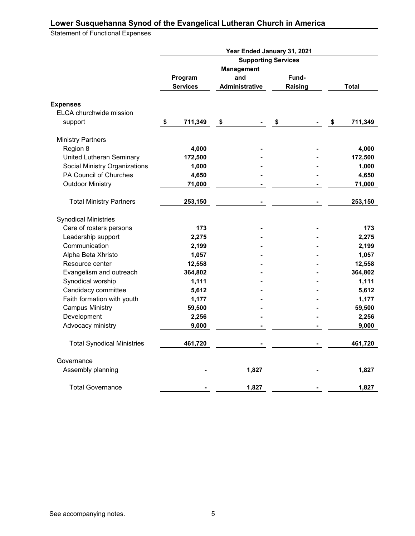Statement of Functional Expenses

|                                            |                            |                 |                   |       | Year Ended January 31, 2021 |  |               |
|--------------------------------------------|----------------------------|-----------------|-------------------|-------|-----------------------------|--|---------------|
|                                            | <b>Supporting Services</b> |                 |                   |       |                             |  |               |
|                                            |                            |                 | <b>Management</b> |       |                             |  |               |
|                                            |                            | Program         | and               |       | Fund-                       |  |               |
|                                            |                            | <b>Services</b> | Administrative    |       | Raising                     |  | Total         |
|                                            |                            |                 |                   |       |                             |  |               |
| <b>Expenses</b><br>ELCA churchwide mission |                            |                 |                   |       |                             |  |               |
|                                            |                            |                 |                   |       |                             |  |               |
| support                                    | \$                         | 711,349         | \$                |       | \$                          |  | \$<br>711,349 |
| <b>Ministry Partners</b>                   |                            |                 |                   |       |                             |  |               |
| Region 8                                   |                            | 4,000           |                   |       |                             |  | 4,000         |
| United Lutheran Seminary                   |                            | 172,500         |                   |       |                             |  | 172,500       |
| Social Ministry Organizations              |                            | 1,000           |                   |       |                             |  | 1,000         |
| PA Council of Churches                     |                            | 4,650           |                   |       |                             |  | 4,650         |
| <b>Outdoor Ministry</b>                    |                            | 71,000          |                   |       |                             |  | 71,000        |
| <b>Total Ministry Partners</b>             |                            | 253,150         |                   |       |                             |  | 253,150       |
| <b>Synodical Ministries</b>                |                            |                 |                   |       |                             |  |               |
| Care of rosters persons                    |                            | 173             |                   |       |                             |  | 173           |
| Leadership support                         |                            | 2,275           |                   |       |                             |  | 2,275         |
| Communication                              |                            | 2,199           |                   |       |                             |  | 2,199         |
| Alpha Beta Xhristo                         |                            | 1,057           |                   |       |                             |  | 1,057         |
| Resource center                            |                            | 12,558          |                   |       |                             |  | 12,558        |
| Evangelism and outreach                    |                            | 364,802         |                   |       |                             |  | 364,802       |
| Synodical worship                          |                            | 1,111           |                   |       |                             |  | 1,111         |
| Candidacy committee                        |                            | 5,612           |                   |       |                             |  | 5,612         |
| Faith formation with youth                 |                            | 1,177           |                   |       |                             |  | 1,177         |
| <b>Campus Ministry</b>                     |                            | 59,500          |                   |       |                             |  | 59,500        |
| Development                                |                            | 2,256           |                   |       |                             |  | 2,256         |
| Advocacy ministry                          |                            | 9,000           |                   |       |                             |  | 9,000         |
| <b>Total Synodical Ministries</b>          |                            | 461,720         |                   |       |                             |  | 461,720       |
| Governance                                 |                            |                 |                   |       |                             |  |               |
| Assembly planning                          |                            |                 |                   | 1,827 |                             |  | 1,827         |
| <b>Total Governance</b>                    |                            |                 |                   | 1,827 |                             |  | 1,827         |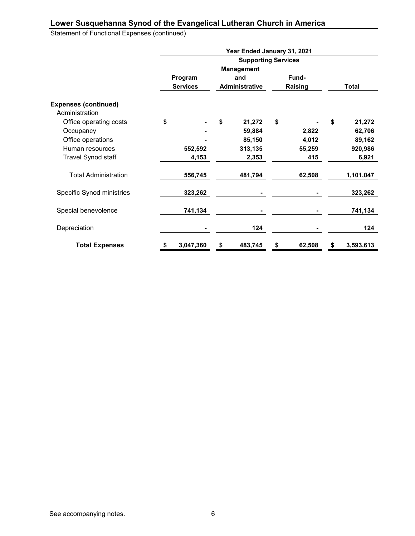Statement of Functional Expenses (continued)

|                             | Year Ended January 31, 2021 |                 |    |                |    |         |    |              |  |  |
|-----------------------------|-----------------------------|-----------------|----|----------------|----|---------|----|--------------|--|--|
|                             |                             |                 |    |                |    |         |    |              |  |  |
|                             |                             |                 |    |                |    |         |    |              |  |  |
|                             |                             | Program         |    | and            |    | Fund-   |    |              |  |  |
|                             |                             | <b>Services</b> |    | Administrative |    | Raising |    | <b>Total</b> |  |  |
| <b>Expenses (continued)</b> |                             |                 |    |                |    |         |    |              |  |  |
| Administration              |                             |                 |    |                |    |         |    |              |  |  |
| Office operating costs      | \$                          |                 | \$ | 21,272         | \$ |         | \$ | 21,272       |  |  |
| Occupancy                   |                             |                 |    | 59,884         |    | 2,822   |    | 62,706       |  |  |
| Office operations           |                             |                 |    | 85,150         |    | 4,012   |    | 89,162       |  |  |
| Human resources             |                             | 552,592         |    | 313,135        |    | 55,259  |    | 920,986      |  |  |
| Travel Synod staff          |                             | 4,153           |    | 2,353          |    | 415     |    | 6,921        |  |  |
| <b>Total Administration</b> |                             | 556,745         |    | 481,794        |    | 62,508  |    | 1,101,047    |  |  |
| Specific Synod ministries   |                             | 323,262         |    |                |    |         |    | 323,262      |  |  |
| Special benevolence         |                             | 741,134         |    |                |    |         |    | 741,134      |  |  |
| Depreciation                |                             |                 |    | 124            |    |         |    | 124          |  |  |
| <b>Total Expenses</b>       | \$                          | 3,047,360       | \$ | 483,745        | \$ | 62,508  | \$ | 3,593,613    |  |  |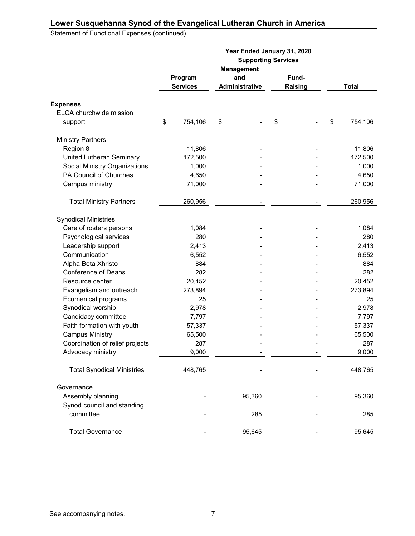Statement of Functional Expenses (continued)

|                                   | Year Ended January 31, 2020 |                   |         |               |  |  |  |  |  |
|-----------------------------------|-----------------------------|-------------------|---------|---------------|--|--|--|--|--|
|                                   |                             |                   |         |               |  |  |  |  |  |
|                                   |                             | <b>Management</b> |         |               |  |  |  |  |  |
|                                   | Program                     | and               | Fund-   |               |  |  |  |  |  |
|                                   | <b>Services</b>             | Administrative    | Raising | <b>Total</b>  |  |  |  |  |  |
| <b>Expenses</b>                   |                             |                   |         |               |  |  |  |  |  |
| ELCA churchwide mission           |                             |                   |         |               |  |  |  |  |  |
| support                           | \$<br>754,106               | \$                | \$      | \$<br>754,106 |  |  |  |  |  |
| <b>Ministry Partners</b>          |                             |                   |         |               |  |  |  |  |  |
| Region 8                          | 11,806                      |                   |         | 11,806        |  |  |  |  |  |
| United Lutheran Seminary          | 172,500                     |                   |         | 172,500       |  |  |  |  |  |
| Social Ministry Organizations     | 1,000                       |                   |         | 1,000         |  |  |  |  |  |
| PA Council of Churches            | 4,650                       |                   |         | 4,650         |  |  |  |  |  |
| Campus ministry                   | 71,000                      |                   |         | 71,000        |  |  |  |  |  |
|                                   |                             |                   |         |               |  |  |  |  |  |
| <b>Total Ministry Partners</b>    | 260,956                     |                   |         | 260,956       |  |  |  |  |  |
| <b>Synodical Ministries</b>       |                             |                   |         |               |  |  |  |  |  |
| Care of rosters persons           | 1,084                       |                   |         | 1,084         |  |  |  |  |  |
| Psychological services            | 280                         |                   |         | 280           |  |  |  |  |  |
| Leadership support                | 2,413                       |                   |         | 2,413         |  |  |  |  |  |
| Communication                     | 6,552                       |                   |         | 6,552         |  |  |  |  |  |
| Alpha Beta Xhristo                | 884                         |                   |         | 884           |  |  |  |  |  |
| <b>Conference of Deans</b>        | 282                         |                   |         | 282           |  |  |  |  |  |
| Resource center                   | 20,452                      |                   |         | 20,452        |  |  |  |  |  |
| Evangelism and outreach           | 273,894                     |                   |         | 273,894       |  |  |  |  |  |
| Ecumenical programs               | 25                          |                   |         | 25            |  |  |  |  |  |
| Synodical worship                 | 2,978                       |                   |         | 2,978         |  |  |  |  |  |
| Candidacy committee               | 7,797                       |                   |         | 7,797         |  |  |  |  |  |
| Faith formation with youth        | 57,337                      |                   |         | 57,337        |  |  |  |  |  |
| <b>Campus Ministry</b>            | 65,500                      |                   |         | 65,500        |  |  |  |  |  |
| Coordination of relief projects   | 287                         |                   |         | 287           |  |  |  |  |  |
| Advocacy ministry                 | 9,000                       |                   |         | 9,000         |  |  |  |  |  |
| <b>Total Synodical Ministries</b> | 448,765                     |                   |         | 448,765       |  |  |  |  |  |
| Governance                        |                             |                   |         |               |  |  |  |  |  |
| Assembly planning                 |                             | 95,360            |         | 95,360        |  |  |  |  |  |
| Synod council and standing        |                             |                   |         |               |  |  |  |  |  |
| committee                         |                             | 285               |         | 285           |  |  |  |  |  |
| <b>Total Governance</b>           |                             | 95,645            |         | 95,645        |  |  |  |  |  |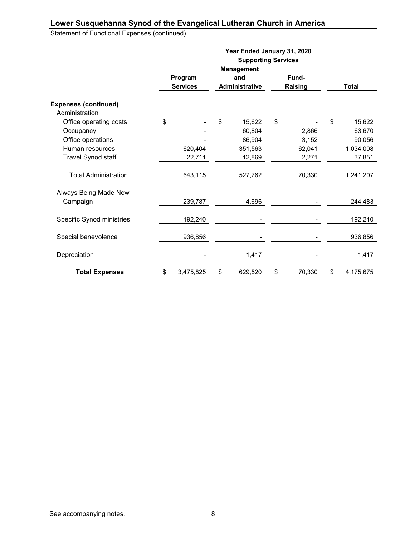Statement of Functional Expenses (continued)

|                             | Year Ended January 31, 2020 |                 |    |                   |    |         |    |              |  |  |
|-----------------------------|-----------------------------|-----------------|----|-------------------|----|---------|----|--------------|--|--|
|                             | <b>Supporting Services</b>  |                 |    |                   |    |         |    |              |  |  |
|                             |                             |                 |    | <b>Management</b> |    |         |    |              |  |  |
|                             |                             | Program         |    | and               |    | Fund-   |    |              |  |  |
|                             |                             | <b>Services</b> |    | Administrative    |    | Raising |    | <b>Total</b> |  |  |
| <b>Expenses (continued)</b> |                             |                 |    |                   |    |         |    |              |  |  |
| Administration              |                             |                 |    |                   |    |         |    |              |  |  |
| Office operating costs      | \$                          |                 | \$ | 15,622            | \$ |         | \$ | 15,622       |  |  |
| Occupancy                   |                             |                 |    | 60,804            |    | 2,866   |    | 63,670       |  |  |
| Office operations           |                             |                 |    | 86,904            |    | 3,152   |    | 90,056       |  |  |
| Human resources             |                             | 620,404         |    | 351,563           |    | 62,041  |    | 1,034,008    |  |  |
| Travel Synod staff          |                             | 22,711          |    | 12,869            |    | 2,271   |    | 37,851       |  |  |
| <b>Total Administration</b> |                             | 643,115         |    | 527,762           |    | 70,330  |    | 1,241,207    |  |  |
| Always Being Made New       |                             |                 |    |                   |    |         |    |              |  |  |
| Campaign                    |                             | 239,787         |    | 4,696             |    |         |    | 244,483      |  |  |
| Specific Synod ministries   |                             | 192,240         |    |                   |    |         |    | 192,240      |  |  |
| Special benevolence         |                             | 936,856         |    |                   |    |         |    | 936,856      |  |  |
| Depreciation                |                             |                 |    | 1,417             |    |         |    | 1,417        |  |  |
| <b>Total Expenses</b>       | \$                          | 3,475,825       | \$ | 629,520           | \$ | 70,330  | \$ | 4,175,675    |  |  |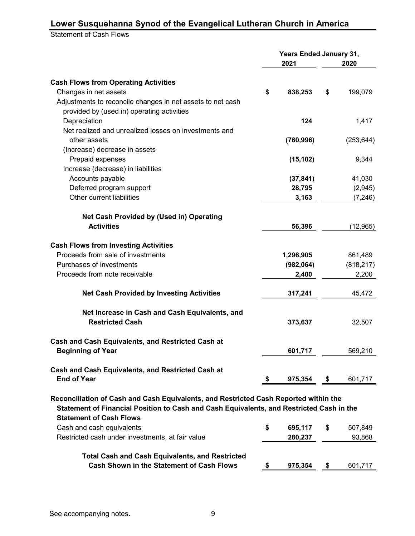Statement of Cash Flows

|                                                                                                                                                                                  | <b>Years Ended January 31,</b><br>2021 |      | 2020       |
|----------------------------------------------------------------------------------------------------------------------------------------------------------------------------------|----------------------------------------|------|------------|
| <b>Cash Flows from Operating Activities</b>                                                                                                                                      |                                        |      |            |
| Changes in net assets                                                                                                                                                            | \$<br>838,253                          | \$   | 199,079    |
| Adjustments to reconcile changes in net assets to net cash                                                                                                                       |                                        |      |            |
| provided by (used in) operating activities                                                                                                                                       |                                        |      |            |
| Depreciation                                                                                                                                                                     | 124                                    |      | 1,417      |
| Net realized and unrealized losses on investments and                                                                                                                            |                                        |      |            |
| other assets                                                                                                                                                                     | (760, 996)                             |      | (253, 644) |
| (Increase) decrease in assets                                                                                                                                                    |                                        |      |            |
| Prepaid expenses                                                                                                                                                                 | (15, 102)                              |      | 9,344      |
| Increase (decrease) in liabilities                                                                                                                                               |                                        |      |            |
| Accounts payable                                                                                                                                                                 | (37, 841)                              |      | 41,030     |
| Deferred program support                                                                                                                                                         | 28,795                                 |      | (2,945)    |
| Other current liabilities                                                                                                                                                        | 3,163                                  |      | (7, 246)   |
|                                                                                                                                                                                  |                                        |      |            |
| Net Cash Provided by (Used in) Operating                                                                                                                                         |                                        |      |            |
| <b>Activities</b>                                                                                                                                                                | 56,396                                 |      | (12,965)   |
| <b>Cash Flows from Investing Activities</b>                                                                                                                                      |                                        |      |            |
| Proceeds from sale of investments                                                                                                                                                | 1,296,905                              |      | 861,489    |
| Purchases of investments                                                                                                                                                         | (982, 064)                             |      | (818, 217) |
| Proceeds from note receivable                                                                                                                                                    | 2,400                                  |      | 2,200      |
|                                                                                                                                                                                  |                                        |      |            |
| <b>Net Cash Provided by Investing Activities</b>                                                                                                                                 | 317,241                                |      | 45,472     |
| Net Increase in Cash and Cash Equivalents, and                                                                                                                                   |                                        |      |            |
| <b>Restricted Cash</b>                                                                                                                                                           | 373,637                                |      | 32,507     |
|                                                                                                                                                                                  |                                        |      |            |
| Cash and Cash Equivalents, and Restricted Cash at                                                                                                                                |                                        |      |            |
| <b>Beginning of Year</b>                                                                                                                                                         | 601,717                                |      | 569,210    |
|                                                                                                                                                                                  |                                        |      |            |
| Cash and Cash Equivalents, and Restricted Cash at                                                                                                                                |                                        |      |            |
| <b>End of Year</b>                                                                                                                                                               | \$<br>975,354                          | - \$ | 601,717    |
|                                                                                                                                                                                  |                                        |      |            |
| Reconciliation of Cash and Cash Equivalents, and Restricted Cash Reported within the<br>Statement of Financial Position to Cash and Cash Equivalents, and Restricted Cash in the |                                        |      |            |
| <b>Statement of Cash Flows</b>                                                                                                                                                   |                                        |      |            |
| Cash and cash equivalents                                                                                                                                                        | \$<br>695,117                          | \$   | 507,849    |
| Restricted cash under investments, at fair value                                                                                                                                 | 280,237                                |      | 93,868     |
|                                                                                                                                                                                  |                                        |      |            |
| <b>Total Cash and Cash Equivalents, and Restricted</b>                                                                                                                           |                                        |      |            |
| Cash Shown in the Statement of Cash Flows                                                                                                                                        | \$<br>975,354                          | \$   | 601,717    |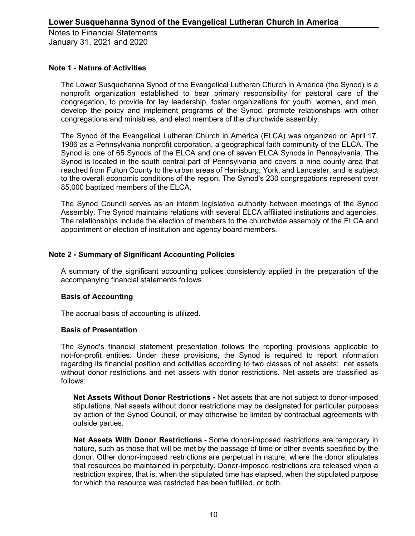## **Note 1 - Nature of Activities**

The Lower Susquehanna Synod of the Evangelical Lutheran Church in America (the Synod) is a nonprofit organization established to bear primary responsibility for pastoral care of the congregation, to provide for lay leadership, foster organizations for youth, women, and men, develop the policy and implement programs of the Synod, promote relationships with other congregations and ministries, and elect members of the churchwide assembly.

The Synod of the Evangelical Lutheran Church in America (ELCA) was organized on April 17, 1986 as a Pennsylvania nonprofit corporation, a geographical faith community of the ELCA. The Synod is one of 65 Synods of the ELCA and one of seven ELCA Synods in Pennsylvania. The Synod is located in the south central part of Pennsylvania and covers a nine county area that reached from Fulton County to the urban areas of Harrisburg, York, and Lancaster, and is subject to the overall economic conditions of the region. The Synod's 230 congregations represent over 85,000 baptized members of the ELCA.

The Synod Council serves as an interim legislative authority between meetings of the Synod Assembly. The Synod maintains relations with several ELCA affiliated institutions and agencies. The relationships include the election of members to the churchwide assembly of the ELCA and appointment or election of institution and agency board members.

## **Note 2 - Summary of Significant Accounting Policies**

A summary of the significant accounting polices consistently applied in the preparation of the accompanying financial statements follows.

## **Basis of Accounting**

The accrual basis of accounting is utilized.

## **Basis of Presentation**

The Synod's financial statement presentation follows the reporting provisions applicable to not-for-profit entities. Under these provisions, the Synod is required to report information regarding its financial position and activities according to two classes of net assets: net assets without donor restrictions and net assets with donor restrictions. Net assets are classified as follows:

**Net Assets Without Donor Restrictions -** Net assets that are not subject to donor-imposed stipulations. Net assets without donor restrictions may be designated for particular purposes by action of the Synod Council, or may otherwise be limited by contractual agreements with outside parties.

**Net Assets With Donor Restrictions -** Some donor-imposed restrictions are temporary in nature, such as those that will be met by the passage of time or other events specified by the donor. Other donor-imposed restrictions are perpetual in nature, where the donor stipulates that resources be maintained in perpetuity. Donor-imposed restrictions are released when a restriction expires, that is, when the stipulated time has elapsed, when the stipulated purpose for which the resource was restricted has been fulfilled, or both.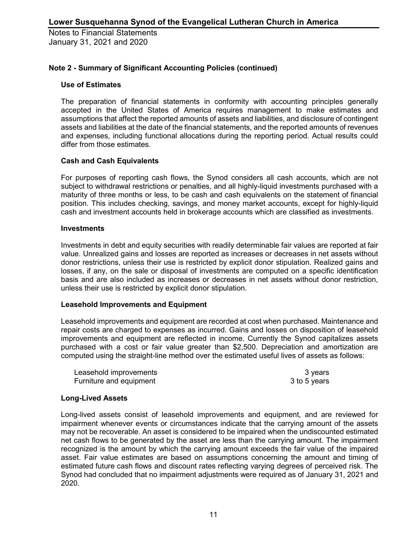## **Note 2 - Summary of Significant Accounting Policies (continued)**

## **Use of Estimates**

The preparation of financial statements in conformity with accounting principles generally accepted in the United States of America requires management to make estimates and assumptions that affect the reported amounts of assets and liabilities, and disclosure of contingent assets and liabilities at the date of the financial statements, and the reported amounts of revenues and expenses, including functional allocations during the reporting period. Actual results could differ from those estimates.

## **Cash and Cash Equivalents**

For purposes of reporting cash flows, the Synod considers all cash accounts, which are not subject to withdrawal restrictions or penalties, and all highly-liquid investments purchased with a maturity of three months or less, to be cash and cash equivalents on the statement of financial position. This includes checking, savings, and money market accounts, except for highly-liquid cash and investment accounts held in brokerage accounts which are classified as investments.

#### **Investments**

Investments in debt and equity securities with readily determinable fair values are reported at fair value. Unrealized gains and losses are reported as increases or decreases in net assets without donor restrictions, unless their use is restricted by explicit donor stipulation. Realized gains and losses, if any, on the sale or disposal of investments are computed on a specific identification basis and are also included as increases or decreases in net assets without donor restriction, unless their use is restricted by explicit donor stipulation.

#### **Leasehold Improvements and Equipment**

Leasehold improvements and equipment are recorded at cost when purchased. Maintenance and repair costs are charged to expenses as incurred. Gains and losses on disposition of leasehold improvements and equipment are reflected in income. Currently the Synod capitalizes assets purchased with a cost or fair value greater than \$2,500. Depreciation and amortization are computed using the straight-line method over the estimated useful lives of assets as follows:

| Leasehold improvements  | 3 years      |
|-------------------------|--------------|
| Furniture and equipment | 3 to 5 years |

#### **Long-Lived Assets**

Long-lived assets consist of leasehold improvements and equipment, and are reviewed for impairment whenever events or circumstances indicate that the carrying amount of the assets may not be recoverable. An asset is considered to be impaired when the undiscounted estimated net cash flows to be generated by the asset are less than the carrying amount. The impairment recognized is the amount by which the carrying amount exceeds the fair value of the impaired asset. Fair value estimates are based on assumptions concerning the amount and timing of estimated future cash flows and discount rates reflecting varying degrees of perceived risk. The Synod had concluded that no impairment adjustments were required as of January 31, 2021 and 2020.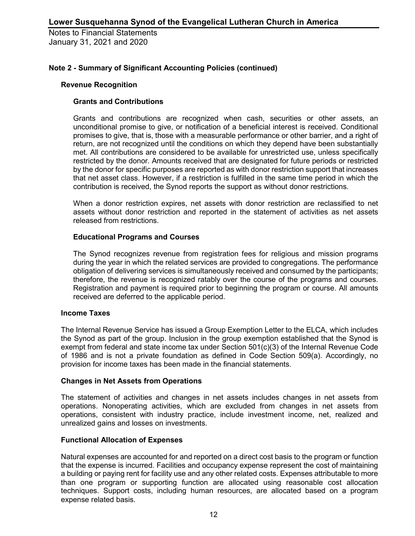## **Note 2 - Summary of Significant Accounting Policies (continued)**

## **Revenue Recognition**

## **Grants and Contributions**

Grants and contributions are recognized when cash, securities or other assets, an unconditional promise to give, or notification of a beneficial interest is received. Conditional promises to give, that is, those with a measurable performance or other barrier, and a right of return, are not recognized until the conditions on which they depend have been substantially met. All contributions are considered to be available for unrestricted use, unless specifically restricted by the donor. Amounts received that are designated for future periods or restricted by the donor for specific purposes are reported as with donor restriction support that increases that net asset class. However, if a restriction is fulfilled in the same time period in which the contribution is received, the Synod reports the support as without donor restrictions.

When a donor restriction expires, net assets with donor restriction are reclassified to net assets without donor restriction and reported in the statement of activities as net assets released from restrictions.

#### **Educational Programs and Courses**

The Synod recognizes revenue from registration fees for religious and mission programs during the year in which the related services are provided to congregations. The performance obligation of delivering services is simultaneously received and consumed by the participants; therefore, the revenue is recognized ratably over the course of the programs and courses. Registration and payment is required prior to beginning the program or course. All amounts received are deferred to the applicable period.

#### **Income Taxes**

The Internal Revenue Service has issued a Group Exemption Letter to the ELCA, which includes the Synod as part of the group. Inclusion in the group exemption established that the Synod is exempt from federal and state income tax under Section 501(c)(3) of the Internal Revenue Code of 1986 and is not a private foundation as defined in Code Section 509(a). Accordingly, no provision for income taxes has been made in the financial statements.

#### **Changes in Net Assets from Operations**

The statement of activities and changes in net assets includes changes in net assets from operations. Nonoperating activities, which are excluded from changes in net assets from operations, consistent with industry practice, include investment income, net, realized and unrealized gains and losses on investments.

## **Functional Allocation of Expenses**

Natural expenses are accounted for and reported on a direct cost basis to the program or function that the expense is incurred. Facilities and occupancy expense represent the cost of maintaining a building or paying rent for facility use and any other related costs. Expenses attributable to more than one program or supporting function are allocated using reasonable cost allocation techniques. Support costs, including human resources, are allocated based on a program expense related basis.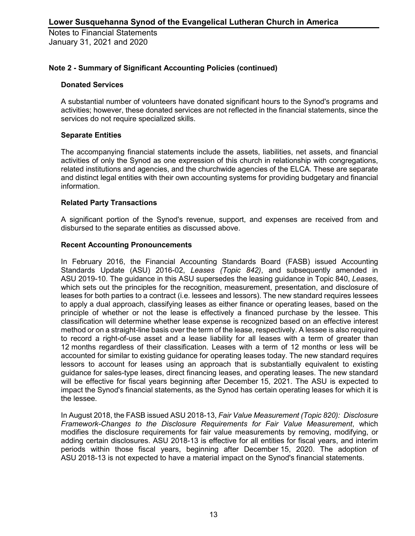## **Note 2 - Summary of Significant Accounting Policies (continued)**

## **Donated Services**

A substantial number of volunteers have donated significant hours to the Synod's programs and activities; however, these donated services are not reflected in the financial statements, since the services do not require specialized skills.

## **Separate Entities**

The accompanying financial statements include the assets, liabilities, net assets, and financial activities of only the Synod as one expression of this church in relationship with congregations, related institutions and agencies, and the churchwide agencies of the ELCA. These are separate and distinct legal entities with their own accounting systems for providing budgetary and financial information.

## **Related Party Transactions**

A significant portion of the Synod's revenue, support, and expenses are received from and disbursed to the separate entities as discussed above.

#### **Recent Accounting Pronouncements**

In February 2016, the Financial Accounting Standards Board (FASB) issued Accounting Standards Update (ASU) 2016-02, *Leases (Topic 842)*, and subsequently amended in ASU 2019-10. The guidance in this ASU supersedes the leasing guidance in Topic 840, *Leases*, which sets out the principles for the recognition, measurement, presentation, and disclosure of leases for both parties to a contract (i.e. lessees and lessors). The new standard requires lessees to apply a dual approach, classifying leases as either finance or operating leases, based on the principle of whether or not the lease is effectively a financed purchase by the lessee. This classification will determine whether lease expense is recognized based on an effective interest method or on a straight-line basis over the term of the lease, respectively. A lessee is also required to record a right-of-use asset and a lease liability for all leases with a term of greater than 12 months regardless of their classification. Leases with a term of 12 months or less will be accounted for similar to existing guidance for operating leases today. The new standard requires lessors to account for leases using an approach that is substantially equivalent to existing guidance for sales-type leases, direct financing leases, and operating leases. The new standard will be effective for fiscal years beginning after December 15, 2021. The ASU is expected to impact the Synod's financial statements, as the Synod has certain operating leases for which it is the lessee.

In August 2018, the FASB issued ASU 2018-13, *Fair Value Measurement (Topic 820): Disclosure Framework-Changes to the Disclosure Requirements for Fair Value Measurement*, which modifies the disclosure requirements for fair value measurements by removing, modifying, or adding certain disclosures. ASU 2018-13 is effective for all entities for fiscal years, and interim periods within those fiscal years, beginning after December 15, 2020. The adoption of ASU 2018-13 is not expected to have a material impact on the Synod's financial statements.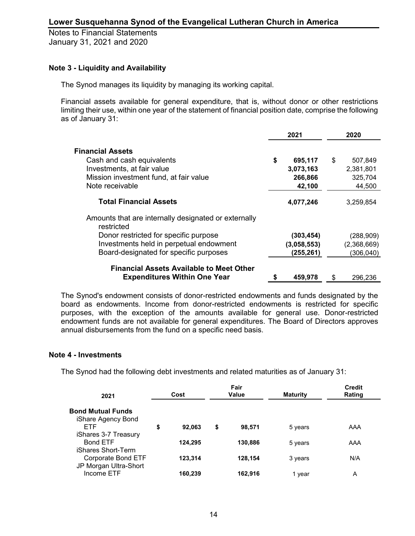Notes to Financial Statements January 31, 2021 and 2020

## **Note 3 - Liquidity and Availability**

The Synod manages its liquidity by managing its working capital.

Financial assets available for general expenditure, that is, without donor or other restrictions limiting their use, within one year of the statement of financial position date, comprise the following as of January 31:

|                                                                    | 2021          |    | 2020        |
|--------------------------------------------------------------------|---------------|----|-------------|
| <b>Financial Assets</b>                                            |               |    |             |
| Cash and cash equivalents                                          | \$<br>695,117 | \$ | 507,849     |
| Investments, at fair value                                         | 3,073,163     |    | 2,381,801   |
| Mission investment fund, at fair value                             | 266,866       |    | 325,704     |
| Note receivable                                                    | 42,100        |    | 44,500      |
| <b>Total Financial Assets</b>                                      | 4,077,246     |    | 3,259,854   |
| Amounts that are internally designated or externally<br>restricted |               |    |             |
| Donor restricted for specific purpose                              | (303, 454)    |    | (288, 909)  |
| Investments held in perpetual endowment                            | (3,058,553)   |    | (2,368,669) |
| Board-designated for specific purposes                             | (255, 261)    |    | (306, 040)  |
| <b>Financial Assets Available to Meet Other</b>                    |               |    |             |
| <b>Expenditures Within One Year</b>                                | \$<br>459,978 | S  | 296,236     |

The Synod's endowment consists of donor-restricted endowments and funds designated by the board as endowments. Income from donor-restricted endowments is restricted for specific purposes, with the exception of the amounts available for general use. Donor-restricted endowment funds are not available for general expenditures. The Board of Directors approves annual disbursements from the fund on a specific need basis.

## **Note 4 - Investments**

The Synod had the following debt investments and related maturities as of January 31:

| 2021                                    | Cost         | Fair<br>Value | <b>Maturity</b> | Credit<br>Rating |
|-----------------------------------------|--------------|---------------|-----------------|------------------|
| <b>Bond Mutual Funds</b>                |              |               |                 |                  |
| iShare Agency Bond<br>FTF               |              |               |                 |                  |
|                                         | \$<br>92.063 | \$<br>98,571  | 5 years         | AAA              |
| iShares 3-7 Treasury<br><b>Bond ETF</b> |              |               |                 | AAA              |
| iShares Short-Term                      | 124.295      | 130,886       | 5 years         |                  |
| <b>Corporate Bond ETF</b>               | 123,314      | 128,154       |                 | N/A              |
| JP Morgan Ultra-Short                   |              |               | 3 years         |                  |
| Income ETF                              |              | 162.916       |                 |                  |
|                                         | 160,239      |               | 1 year          | A                |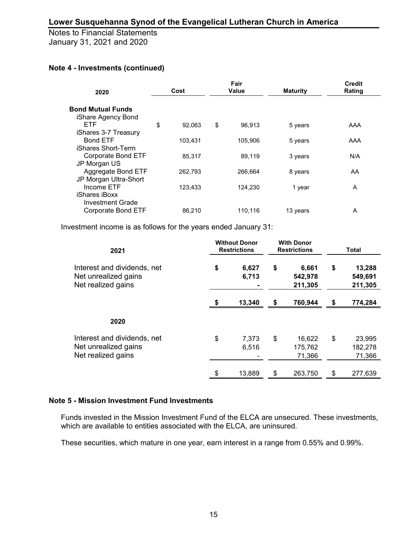Notes to Financial Statements January 31, 2021 and 2020

## **Note 4 - Investments (continued)**

| 2020                                                 | Cost         | Fair<br>Value | <b>Maturity</b> | <b>Credit</b><br>Rating |
|------------------------------------------------------|--------------|---------------|-----------------|-------------------------|
| <b>Bond Mutual Funds</b><br>iShare Agency Bond       |              |               |                 |                         |
| ETF                                                  | \$<br>92.063 | \$<br>96.913  | 5 years         | AAA                     |
| iShares 3-7 Treasury                                 |              |               |                 |                         |
| <b>Bond ETF</b>                                      | 103,431      | 105,906       | 5 years         | AAA                     |
| iShares Short-Term                                   |              |               |                 |                         |
| Corporate Bond ETF<br>JP Morgan US                   | 85.317       | 89,119        | 3 years         | N/A                     |
| Aggregate Bond ETF                                   | 262,793      | 266,664       | 8 years         | AA                      |
| JP Morgan Ultra-Short                                |              |               |                 |                         |
| Income ETF                                           | 123,433      | 124,230       | 1 year          | A                       |
| <i><b>iShares iBoxx</b></i>                          |              |               |                 |                         |
| <b>Investment Grade</b><br><b>Corporate Bond ETF</b> |              |               |                 | A                       |
|                                                      | 86,210       | 110,116       | 13 years        |                         |

Investment income is as follows for the years ended January 31:

| 2021                                                                      |    | <b>Without Donor</b><br><b>Restrictions</b> | <b>With Donor</b><br><b>Restrictions</b> |    | <b>Total</b>                 |
|---------------------------------------------------------------------------|----|---------------------------------------------|------------------------------------------|----|------------------------------|
| Interest and dividends, net<br>Net unrealized gains<br>Net realized gains | \$ | 6,627<br>6,713                              | \$<br>6,661<br>542,978<br>211,305        | \$ | 13,288<br>549,691<br>211,305 |
|                                                                           | S. | 13,340                                      | \$<br>760,944                            | S  | 774,284                      |
| 2020                                                                      |    |                                             |                                          |    |                              |
| Interest and dividends, net<br>Net unrealized gains<br>Net realized gains | \$ | 7,373<br>6,516                              | \$<br>16,622<br>175,762<br>71,366        | \$ | 23,995<br>182,278<br>71,366  |
|                                                                           | \$ | 13,889                                      | \$<br>263,750                            | \$ | 277,639                      |

## **Note 5 - Mission Investment Fund Investments**

Funds invested in the Mission Investment Fund of the ELCA are unsecured. These investments, which are available to entities associated with the ELCA, are uninsured.

These securities, which mature in one year, earn interest in a range from 0.55% and 0.99%.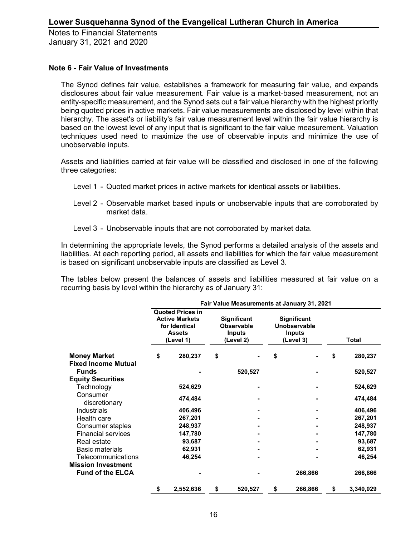## **Note 6 - Fair Value of Investments**

The Synod defines fair value, establishes a framework for measuring fair value, and expands disclosures about fair value measurement. Fair value is a market-based measurement, not an entity-specific measurement, and the Synod sets out a fair value hierarchy with the highest priority being quoted prices in active markets. Fair value measurements are disclosed by level within that hierarchy. The asset's or liability's fair value measurement level within the fair value hierarchy is based on the lowest level of any input that is significant to the fair value measurement. Valuation techniques used need to maximize the use of observable inputs and minimize the use of unobservable inputs.

Assets and liabilities carried at fair value will be classified and disclosed in one of the following three categories:

- Level 1 Quoted market prices in active markets for identical assets or liabilities.
- Level 2 Observable market based inputs or unobservable inputs that are corroborated by market data.
- Level 3 Unobservable inputs that are not corroborated by market data.

In determining the appropriate levels, the Synod performs a detailed analysis of the assets and liabilities. At each reporting period, all assets and liabilities for which the fair value measurement is based on significant unobservable inputs are classified as Level 3.

The tables below present the balances of assets and liabilities measured at fair value on a recurring basis by level within the hierarchy as of January 31:

|                                                      | Fair Value Measurements at January 31, 2021 |                                                                                                 |                                                                                                                                           |         |       |         |    |           |
|------------------------------------------------------|---------------------------------------------|-------------------------------------------------------------------------------------------------|-------------------------------------------------------------------------------------------------------------------------------------------|---------|-------|---------|----|-----------|
|                                                      |                                             | <b>Quoted Prices in</b><br><b>Active Markets</b><br>for Identical<br><b>Assets</b><br>(Level 1) | <b>Significant</b><br><b>Significant</b><br><b>Observable</b><br>Unobservable<br><b>Inputs</b><br><b>Inputs</b><br>(Level 3)<br>(Level 2) |         | Total |         |    |           |
| <b>Money Market</b><br><b>Fixed Income Mutual</b>    | \$                                          | 280,237                                                                                         | \$                                                                                                                                        |         | \$    |         | \$ | 280,237   |
| <b>Funds</b>                                         |                                             |                                                                                                 |                                                                                                                                           | 520,527 |       |         |    | 520,527   |
| <b>Equity Securities</b>                             |                                             |                                                                                                 |                                                                                                                                           |         |       |         |    |           |
| Technology                                           |                                             | 524,629                                                                                         |                                                                                                                                           |         |       |         |    | 524,629   |
| Consumer<br>discretionary                            |                                             | 474,484                                                                                         |                                                                                                                                           |         |       |         |    | 474,484   |
| Industrials                                          |                                             | 406,496                                                                                         |                                                                                                                                           |         |       |         |    | 406,496   |
| Health care                                          |                                             | 267,201                                                                                         |                                                                                                                                           |         |       |         |    | 267,201   |
| Consumer staples                                     |                                             | 248,937                                                                                         |                                                                                                                                           |         |       |         |    | 248,937   |
| <b>Financial services</b>                            |                                             | 147,780                                                                                         |                                                                                                                                           |         |       |         |    | 147,780   |
| Real estate                                          |                                             | 93,687                                                                                          |                                                                                                                                           |         |       |         |    | 93,687    |
| <b>Basic materials</b>                               |                                             | 62,931                                                                                          |                                                                                                                                           |         |       |         |    | 62,931    |
| Telecommunications                                   |                                             | 46,254                                                                                          |                                                                                                                                           |         |       |         |    | 46,254    |
| <b>Mission Investment</b><br><b>Fund of the ELCA</b> |                                             |                                                                                                 |                                                                                                                                           |         |       | 266,866 |    | 266,866   |
|                                                      | \$                                          | 2,552,636                                                                                       | \$                                                                                                                                        | 520,527 | \$    | 266,866 | \$ | 3,340,029 |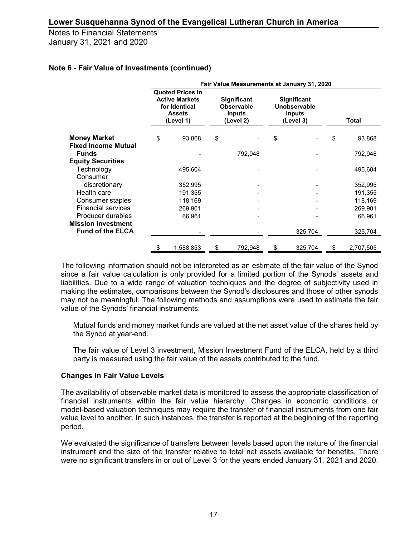Notes to Financial Statements January 31, 2021 and 2020

|  |  | Note 6 - Fair Value of Investments (continued) |  |
|--|--|------------------------------------------------|--|
|--|--|------------------------------------------------|--|

|                            | Fair Value Measurements at January 31, 2020 |                                                                                                 |    |                                                                       |    |                                                                  |    |              |
|----------------------------|---------------------------------------------|-------------------------------------------------------------------------------------------------|----|-----------------------------------------------------------------------|----|------------------------------------------------------------------|----|--------------|
|                            |                                             | <b>Quoted Prices in</b><br><b>Active Markets</b><br>for Identical<br><b>Assets</b><br>(Level 1) |    | <b>Significant</b><br><b>Observable</b><br><b>Inputs</b><br>(Level 2) |    | <b>Significant</b><br>Unobservable<br><b>Inputs</b><br>(Level 3) |    | <b>Total</b> |
| <b>Money Market</b>        | \$                                          | 93,868                                                                                          | \$ |                                                                       | \$ |                                                                  | \$ | 93,868       |
| <b>Fixed Income Mutual</b> |                                             |                                                                                                 |    |                                                                       |    |                                                                  |    |              |
| <b>Funds</b>               |                                             |                                                                                                 |    | 792,948                                                               |    |                                                                  |    | 792,948      |
| <b>Equity Securities</b>   |                                             |                                                                                                 |    |                                                                       |    |                                                                  |    |              |
| Technology                 |                                             | 495,604                                                                                         |    |                                                                       |    |                                                                  |    | 495,604      |
| Consumer                   |                                             |                                                                                                 |    |                                                                       |    |                                                                  |    |              |
| discretionary              |                                             | 352,995                                                                                         |    |                                                                       |    |                                                                  |    | 352,995      |
| Health care                |                                             | 191,355                                                                                         |    |                                                                       |    |                                                                  |    | 191,355      |
| Consumer staples           |                                             | 118,169                                                                                         |    |                                                                       |    |                                                                  |    | 118,169      |
| <b>Financial services</b>  |                                             | 269,901                                                                                         |    |                                                                       |    |                                                                  |    | 269,901      |
| Producer durables          |                                             | 66,961                                                                                          |    |                                                                       |    |                                                                  |    | 66,961       |
| <b>Mission Investment</b>  |                                             |                                                                                                 |    |                                                                       |    |                                                                  |    |              |
| <b>Fund of the ELCA</b>    |                                             |                                                                                                 |    |                                                                       |    | 325,704                                                          |    | 325,704      |
|                            | \$                                          | 1,588,853                                                                                       | \$ | 792,948                                                               | \$ | 325,704                                                          | \$ | 2,707,505    |

The following information should not be interpreted as an estimate of the fair value of the Synod since a fair value calculation is only provided for a limited portion of the Synods' assets and liabilities. Due to a wide range of valuation techniques and the degree of subjectivity used in making the estimates, comparisons between the Synod's disclosures and those of other synods may not be meaningful. The following methods and assumptions were used to estimate the fair value of the Synods' financial instruments:

Mutual funds and money market funds are valued at the net asset value of the shares held by the Synod at year-end.

The fair value of Level 3 investment, Mission Investment Fund of the ELCA, held by a third party is measured using the fair value of the assets contributed to the fund.

## **Changes in Fair Value Levels**

The availability of observable market data is monitored to assess the appropriate classification of financial instruments within the fair value hierarchy. Changes in economic conditions or model-based valuation techniques may require the transfer of financial instruments from one fair value level to another. In such instances, the transfer is reported at the beginning of the reporting period.

We evaluated the significance of transfers between levels based upon the nature of the financial instrument and the size of the transfer relative to total net assets available for benefits. There were no significant transfers in or out of Level 3 for the years ended January 31, 2021 and 2020.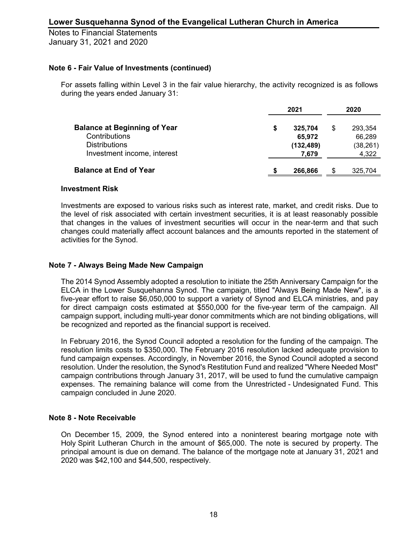Notes to Financial Statements January 31, 2021 and 2020

## **Note 6 - Fair Value of Investments (continued)**

For assets falling within Level 3 in the fair value hierarchy, the activity recognized is as follows during the years ended January 31:

|                                       |   | 2021                 |   | 2020                |
|---------------------------------------|---|----------------------|---|---------------------|
| <b>Balance at Beginning of Year</b>   | S | 325,704              | S | 293.354             |
| Contributions<br><b>Distributions</b> |   | 65,972<br>(132, 489) |   | 66,289<br>(38, 261) |
| Investment income, interest           |   | 7.679                |   | 4,322               |
| <b>Balance at End of Year</b>         |   | 266,866              | S | 325,704             |

## **Investment Risk**

Investments are exposed to various risks such as interest rate, market, and credit risks. Due to the level of risk associated with certain investment securities, it is at least reasonably possible that changes in the values of investment securities will occur in the near-term and that such changes could materially affect account balances and the amounts reported in the statement of activities for the Synod.

## **Note 7 - Always Being Made New Campaign**

The 2014 Synod Assembly adopted a resolution to initiate the 25th Anniversary Campaign for the ELCA in the Lower Susquehanna Synod. The campaign, titled "Always Being Made New", is a five-year effort to raise \$6,050,000 to support a variety of Synod and ELCA ministries, and pay for direct campaign costs estimated at \$550,000 for the five-year term of the campaign. All campaign support, including multi-year donor commitments which are not binding obligations, will be recognized and reported as the financial support is received.

In February 2016, the Synod Council adopted a resolution for the funding of the campaign. The resolution limits costs to \$350,000. The February 2016 resolution lacked adequate provision to fund campaign expenses. Accordingly, in November 2016, the Synod Council adopted a second resolution. Under the resolution, the Synod's Restitution Fund and realized "Where Needed Most" campaign contributions through January 31, 2017, will be used to fund the cumulative campaign expenses. The remaining balance will come from the Unrestricted - Undesignated Fund. This campaign concluded in June 2020.

## **Note 8 - Note Receivable**

On December 15, 2009, the Synod entered into a noninterest bearing mortgage note with Holy Spirit Lutheran Church in the amount of \$65,000. The note is secured by property. The principal amount is due on demand. The balance of the mortgage note at January 31, 2021 and 2020 was \$42,100 and \$44,500, respectively.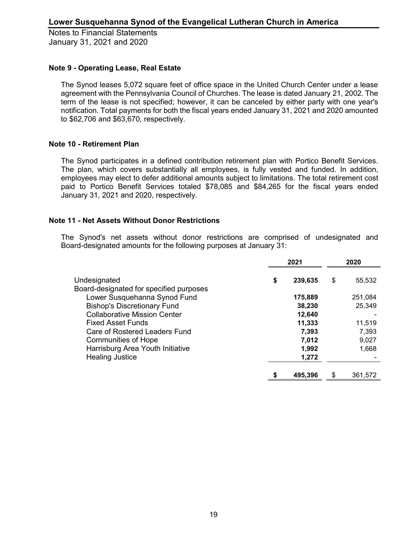## **Note 9 - Operating Lease, Real Estate**

The Synod leases 5,072 square feet of office space in the United Church Center under a lease agreement with the Pennsylvania Council of Churches. The lease is dated January 21, 2002. The term of the lease is not specified; however, it can be canceled by either party with one year's notification. Total payments for both the fiscal years ended January 31, 2021 and 2020 amounted to \$62,706 and \$63,670, respectively.

## **Note 10 - Retirement Plan**

The Synod participates in a defined contribution retirement plan with Portico Benefit Services. The plan, which covers substantially all employees, is fully vested and funded. In addition, employees may elect to defer additional amounts subject to limitations. The total retirement cost paid to Portico Benefit Services totaled \$78,085 and \$84,265 for the fiscal years ended January 31, 2021 and 2020, respectively.

## **Note 11 - Net Assets Without Donor Restrictions**

The Synod's net assets without donor restrictions are comprised of undesignated and Board-designated amounts for the following purposes at January 31:

| 2021          | 2020         |
|---------------|--------------|
| \$<br>239,635 | \$<br>55,532 |
|               |              |
| 175,889       | 251,084      |
| 38,230        | 25,349       |
| 12,640        |              |
| 11,333        | 11,519       |
| 7,393         | 7,393        |
| 7,012         | 9,027        |
| 1,992         | 1,668        |
| 1,272         |              |
| 495,396       | 361,572      |
|               |              |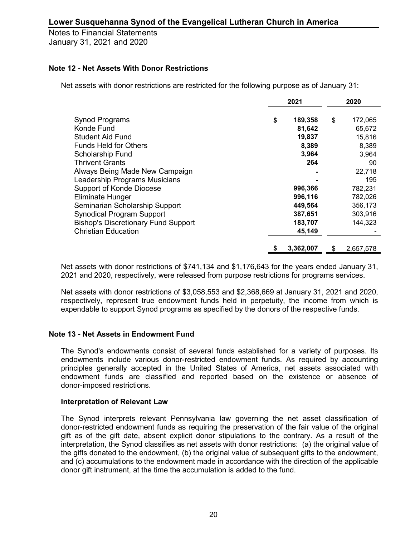Notes to Financial Statements January 31, 2021 and 2020

## **Note 12 - Net Assets With Donor Restrictions**

Net assets with donor restrictions are restricted for the following purpose as of January 31:

|                                            | 2021 |           |    | 2020      |  |
|--------------------------------------------|------|-----------|----|-----------|--|
| <b>Synod Programs</b>                      | \$   | 189,358   | \$ | 172,065   |  |
| Konde Fund                                 |      | 81,642    |    | 65,672    |  |
| <b>Student Aid Fund</b>                    |      | 19,837    |    | 15,816    |  |
| <b>Funds Held for Others</b>               |      | 8,389     |    | 8,389     |  |
| <b>Scholarship Fund</b>                    |      | 3,964     |    | 3,964     |  |
| <b>Thrivent Grants</b>                     |      | 264       |    | 90        |  |
| Always Being Made New Campaign             |      |           |    | 22,718    |  |
| Leadership Programs Musicians              |      |           |    | 195       |  |
| <b>Support of Konde Diocese</b>            |      | 996,366   |    | 782,231   |  |
| <b>Eliminate Hunger</b>                    |      | 996,116   |    | 782.026   |  |
| Seminarian Scholarship Support             |      | 449,564   |    | 356,173   |  |
| <b>Synodical Program Support</b>           |      | 387,651   |    | 303,916   |  |
| <b>Bishop's Discretionary Fund Support</b> |      | 183,707   |    | 144.323   |  |
| <b>Christian Education</b>                 |      | 45,149    |    |           |  |
|                                            | \$   | 3,362,007 | S  | 2,657,578 |  |

Net assets with donor restrictions of \$741,134 and \$1,176,643 for the years ended January 31, 2021 and 2020, respectively, were released from purpose restrictions for programs services.

Net assets with donor restrictions of \$3,058,553 and \$2,368,669 at January 31, 2021 and 2020, respectively, represent true endowment funds held in perpetuity, the income from which is expendable to support Synod programs as specified by the donors of the respective funds.

## **Note 13 - Net Assets in Endowment Fund**

The Synod's endowments consist of several funds established for a variety of purposes. Its endowments include various donor-restricted endowment funds. As required by accounting principles generally accepted in the United States of America, net assets associated with endowment funds are classified and reported based on the existence or absence of donor-imposed restrictions.

## **Interpretation of Relevant Law**

The Synod interprets relevant Pennsylvania law governing the net asset classification of donor-restricted endowment funds as requiring the preservation of the fair value of the original gift as of the gift date, absent explicit donor stipulations to the contrary. As a result of the interpretation, the Synod classifies as net assets with donor restrictions: (a) the original value of the gifts donated to the endowment, (b) the original value of subsequent gifts to the endowment, and (c) accumulations to the endowment made in accordance with the direction of the applicable donor gift instrument, at the time the accumulation is added to the fund.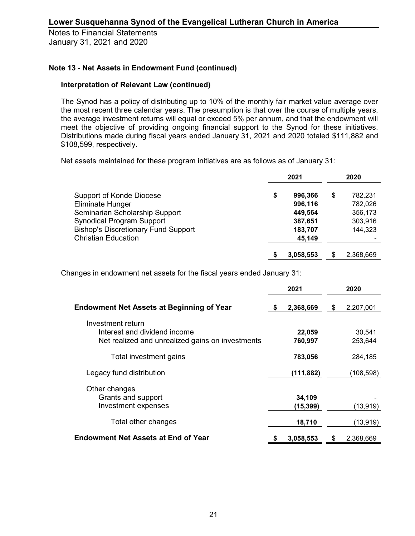## **Note 13 - Net Assets in Endowment Fund (continued)**

## **Interpretation of Relevant Law (continued)**

The Synod has a policy of distributing up to 10% of the monthly fair market value average over the most recent three calendar years. The presumption is that over the course of multiple years, the average investment returns will equal or exceed 5% per annum, and that the endowment will meet the objective of providing ongoing financial support to the Synod for these initiatives. Distributions made during fiscal years ended January 31, 2021 and 2020 totaled \$111,882 and \$108,599, respectively.

Net assets maintained for these program initiatives are as follows as of January 31:

|                                            | 2021 |           | 2020 |           |
|--------------------------------------------|------|-----------|------|-----------|
| Support of Konde Diocese                   | S    | 996,366   | \$   | 782,231   |
| <b>Eliminate Hunger</b>                    |      | 996,116   |      | 782,026   |
| Seminarian Scholarship Support             |      | 449,564   |      | 356,173   |
| <b>Synodical Program Support</b>           |      | 387,651   |      | 303,916   |
| <b>Bishop's Discretionary Fund Support</b> |      | 183,707   |      | 144,323   |
| <b>Christian Education</b>                 |      | 45,149    |      |           |
|                                            |      | 3,058,553 |      | 2.368.669 |

Changes in endowment net assets for the fiscal years ended January 31:

|                                                  |    | 2021       |   | 2020       |
|--------------------------------------------------|----|------------|---|------------|
| <b>Endowment Net Assets at Beginning of Year</b> | S  | 2,368,669  | S | 2,207,001  |
| Investment return                                |    |            |   |            |
| Interest and dividend income                     |    | 22,059     |   | 30,541     |
| Net realized and unrealized gains on investments |    | 760,997    |   | 253,644    |
| Total investment gains                           |    | 783,056    |   | 284,185    |
| Legacy fund distribution                         |    | (111, 882) |   | (108, 598) |
| Other changes                                    |    |            |   |            |
| Grants and support                               |    | 34,109     |   |            |
| Investment expenses                              |    | (15, 399)  |   | (13, 919)  |
| Total other changes                              |    | 18,710     |   | (13, 919)  |
| <b>Endowment Net Assets at End of Year</b>       | \$ | 3,058,553  | S | 2,368,669  |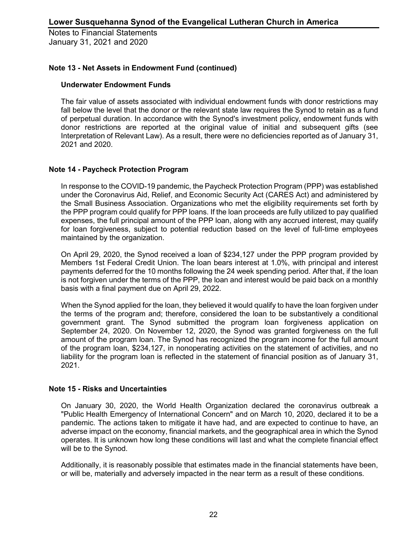## **Note 13 - Net Assets in Endowment Fund (continued)**

## **Underwater Endowment Funds**

The fair value of assets associated with individual endowment funds with donor restrictions may fall below the level that the donor or the relevant state law requires the Synod to retain as a fund of perpetual duration. In accordance with the Synod's investment policy, endowment funds with donor restrictions are reported at the original value of initial and subsequent gifts (see Interpretation of Relevant Law). As a result, there were no deficiencies reported as of January 31, 2021 and 2020.

## **Note 14 - Paycheck Protection Program**

In response to the COVID-19 pandemic, the Paycheck Protection Program (PPP) was established under the Coronavirus Aid, Relief, and Economic Security Act (CARES Act) and administered by the Small Business Association. Organizations who met the eligibility requirements set forth by the PPP program could qualify for PPP loans. If the loan proceeds are fully utilized to pay qualified expenses, the full principal amount of the PPP loan, along with any accrued interest, may qualify for loan forgiveness, subject to potential reduction based on the level of full-time employees maintained by the organization.

On April 29, 2020, the Synod received a loan of \$234,127 under the PPP program provided by Members 1st Federal Credit Union. The loan bears interest at 1.0%, with principal and interest payments deferred for the 10 months following the 24 week spending period. After that, if the loan is not forgiven under the terms of the PPP, the loan and interest would be paid back on a monthly basis with a final payment due on April 29, 2022.

When the Synod applied for the loan, they believed it would qualify to have the loan forgiven under the terms of the program and; therefore, considered the loan to be substantively a conditional government grant. The Synod submitted the program loan forgiveness application on September 24, 2020. On November 12, 2020, the Synod was granted forgiveness on the full amount of the program loan. The Synod has recognized the program income for the full amount of the program loan, \$234,127, in nonoperating activities on the statement of activities, and no liability for the program loan is reflected in the statement of financial position as of January 31, 2021.

## **Note 15 - Risks and Uncertainties**

On January 30, 2020, the World Health Organization declared the coronavirus outbreak a "Public Health Emergency of International Concern" and on March 10, 2020, declared it to be a pandemic. The actions taken to mitigate it have had, and are expected to continue to have, an adverse impact on the economy, financial markets, and the geographical area in which the Synod operates. It is unknown how long these conditions will last and what the complete financial effect will be to the Synod.

Additionally, it is reasonably possible that estimates made in the financial statements have been, or will be, materially and adversely impacted in the near term as a result of these conditions.